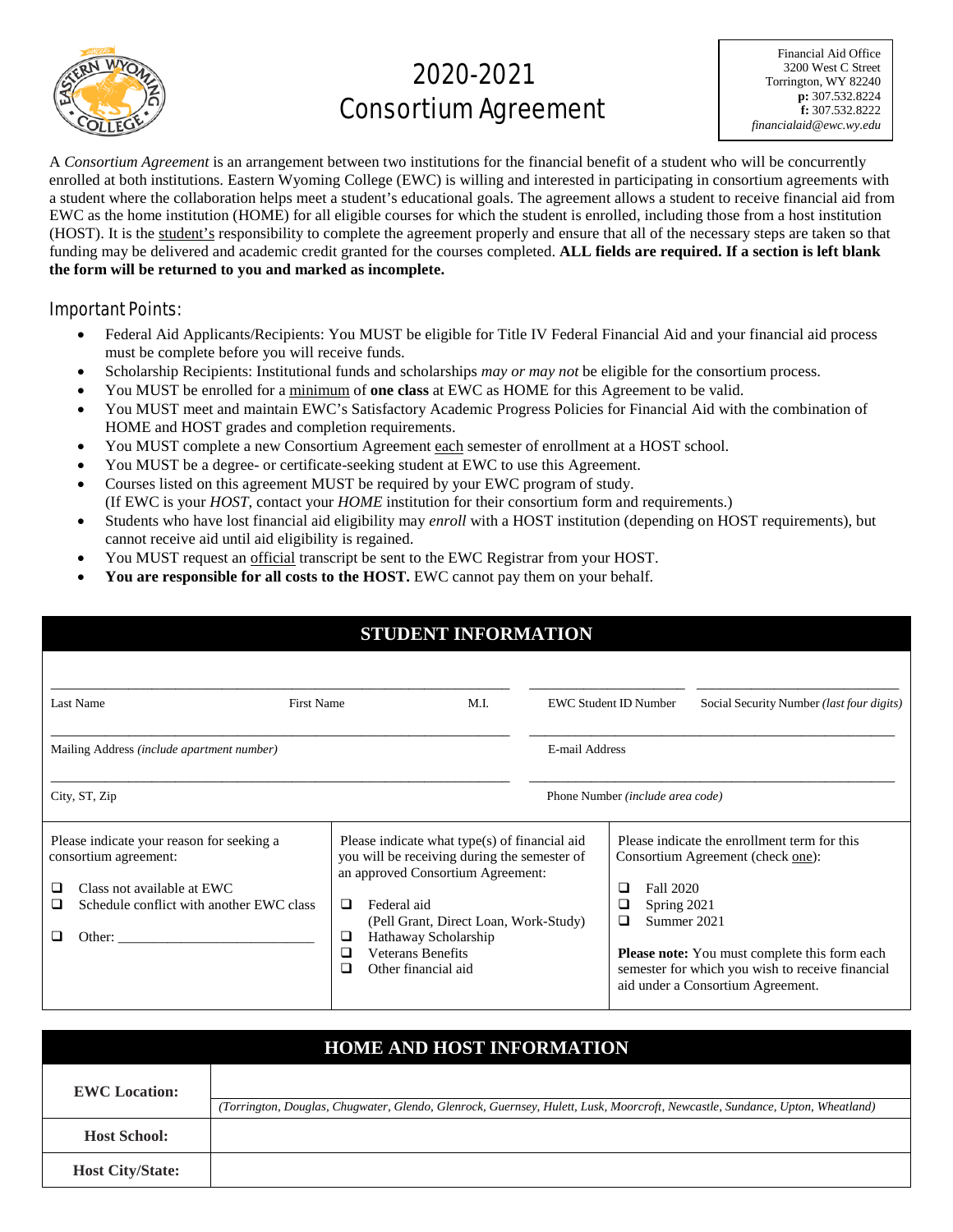

# 2020-2021 Consortium Agreement

Financial Aid Office 3200 West C Street Torrington, WY 82240 **p:** 307.532.8224 **f:** 307.532.8222 *financialaid@ewc.wy.edu*

A *Consortium Agreement* is an arrangement between two institutions for the financial benefit of a student who will be concurrently enrolled at both institutions. Eastern Wyoming College (EWC) is willing and interested in participating in consortium agreements with a student where the collaboration helps meet a student's educational goals. The agreement allows a student to receive financial aid from EWC as the home institution (HOME) for all eligible courses for which the student is enrolled, including those from a host institution (HOST). It is the student's responsibility to complete the agreement properly and ensure that all of the necessary steps are taken so that funding may be delivered and academic credit granted for the courses completed. **ALL fields are required. If a section is left blank the form will be returned to you and marked as incomplete.** 

### Important Points:

- Federal Aid Applicants/Recipients: You MUST be eligible for Title IV Federal Financial Aid and your financial aid process must be complete before you will receive funds.
- Scholarship Recipients: Institutional funds and scholarships *may or may not* be eligible for the consortium process.
- You MUST be enrolled for a minimum of **one class** at EWC as HOME for this Agreement to be valid.
- You MUST meet and maintain EWC's Satisfactory Academic Progress Policies for Financial Aid with the combination of HOME and HOST grades and completion requirements.
- You MUST complete a new Consortium Agreement each semester of enrollment at a HOST school.
- You MUST be a degree- or certificate-seeking student at EWC to use this Agreement.
- Courses listed on this agreement MUST be required by your EWC program of study. (If EWC is your *HOST*, contact your *HOME* institution for their consortium form and requirements.)
- Students who have lost financial aid eligibility may *enroll* with a HOST institution (depending on HOST requirements), but cannot receive aid until aid eligibility is regained.
- You MUST request an official transcript be sent to the EWC Registrar from your HOST.
- **You are responsible for all costs to the HOST.** EWC cannot pay them on your behalf.

| <b>STUDENT INFORMATION</b>                                                                                                                                                  |                  |                                                                                                                                                                                                                                                                       |                |                                                        |                                                                                                                                                                                                                                    |  |  |  |  |
|-----------------------------------------------------------------------------------------------------------------------------------------------------------------------------|------------------|-----------------------------------------------------------------------------------------------------------------------------------------------------------------------------------------------------------------------------------------------------------------------|----------------|--------------------------------------------------------|------------------------------------------------------------------------------------------------------------------------------------------------------------------------------------------------------------------------------------|--|--|--|--|
| Last Name<br><b>First Name</b>                                                                                                                                              |                  | M.I.                                                                                                                                                                                                                                                                  |                | <b>EWC Student ID Number</b>                           | Social Security Number (last four digits)                                                                                                                                                                                          |  |  |  |  |
| Mailing Address (include apartment number)                                                                                                                                  |                  |                                                                                                                                                                                                                                                                       | E-mail Address |                                                        |                                                                                                                                                                                                                                    |  |  |  |  |
| City, ST, Zip                                                                                                                                                               |                  |                                                                                                                                                                                                                                                                       |                | Phone Number ( <i>include area code</i> )              |                                                                                                                                                                                                                                    |  |  |  |  |
| Please indicate your reason for seeking a<br>consortium agreement:<br>Class not available at EWC<br>Schedule conflict with another EWC class<br>□<br>Other: $\qquad \qquad$ | □<br>❏<br>□<br>◻ | Please indicate what type(s) of financial aid<br>you will be receiving during the semester of<br>an approved Consortium Agreement:<br>Federal aid<br>(Pell Grant, Direct Loan, Work-Study)<br>Hathaway Scholarship<br><b>Veterans Benefits</b><br>Other financial aid |                | Fall 2020<br>⊔<br>Spring 2021<br>❏<br>Summer 2021<br>□ | Please indicate the enrollment term for this<br>Consortium Agreement (check one):<br><b>Please note:</b> You must complete this form each<br>semester for which you wish to receive financial<br>aid under a Consortium Agreement. |  |  |  |  |

| <b>HOME AND HOST INFORMATION</b> |                                                                                                                              |  |  |  |  |  |  |  |
|----------------------------------|------------------------------------------------------------------------------------------------------------------------------|--|--|--|--|--|--|--|
| <b>EWC</b> Location:             |                                                                                                                              |  |  |  |  |  |  |  |
|                                  | (Torrington, Douglas, Chugwater, Glendo, Glenrock, Guernsey, Hulett, Lusk, Moorcroft, Newcastle, Sundance, Upton, Wheatland) |  |  |  |  |  |  |  |
| <b>Host School:</b>              |                                                                                                                              |  |  |  |  |  |  |  |
| <b>Host City/State:</b>          |                                                                                                                              |  |  |  |  |  |  |  |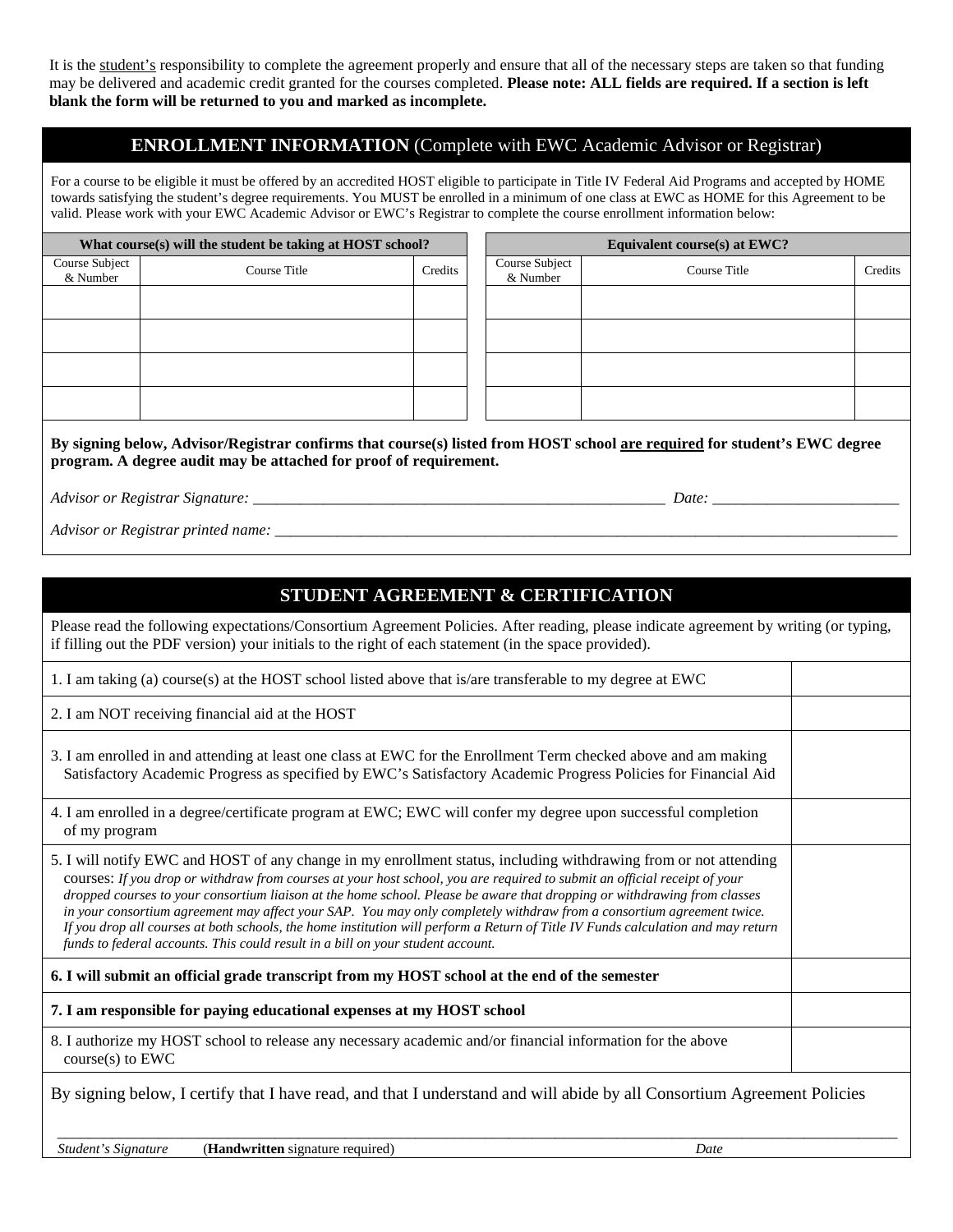It is the student's responsibility to complete the agreement properly and ensure that all of the necessary steps are taken so that funding may be delivered and academic credit granted for the courses completed. **Please note: ALL fields are required. If a section is left blank the form will be returned to you and marked as incomplete.** 

## **ENROLLMENT INFORMATION** (Complete with EWC Academic Advisor or Registrar)

For a course to be eligible it must be offered by an accredited HOST eligible to participate in Title IV Federal Aid Programs and accepted by HOME towards satisfying the student's degree requirements. You MUST be enrolled in a minimum of one class at EWC as HOME for this Agreement to be valid. Please work with your EWC Academic Advisor or EWC's Registrar to complete the course enrollment information below:

| What course(s) will the student be taking at HOST school? |         |  | Equivalent course(s) at EWC? |              |         |  |
|-----------------------------------------------------------|---------|--|------------------------------|--------------|---------|--|
| Course Title                                              | Credits |  | Course Subject<br>& Number   | Course Title | Credits |  |
|                                                           |         |  |                              |              |         |  |
|                                                           |         |  |                              |              |         |  |
|                                                           |         |  |                              |              |         |  |
|                                                           |         |  |                              |              |         |  |
|                                                           |         |  |                              |              |         |  |

**By signing below, Advisor/Registrar confirms that course(s) listed from HOST school are required for student's EWC degree program. A degree audit may be attached for proof of requirement.**

*Advisor or Registrar Signature: \_\_\_\_\_\_\_\_\_\_\_\_\_\_\_\_\_\_\_\_\_\_\_\_\_\_\_\_\_\_\_\_\_\_\_\_\_\_\_\_\_\_\_\_\_\_\_\_\_\_\_\_\_ Date: \_\_\_\_\_\_\_\_\_\_\_\_\_\_\_\_\_\_\_\_\_\_\_\_*

*Advisor or Registrar printed name:* \_\_\_\_\_\_\_\_\_\_\_\_\_\_\_\_\_\_\_\_\_\_\_\_\_\_\_\_\_\_\_\_\_\_\_\_\_\_\_\_\_\_\_\_\_\_\_\_\_\_\_\_\_\_\_\_\_\_\_\_\_\_\_\_\_\_\_\_\_\_\_\_\_\_\_\_\_\_\_\_

## **STUDENT AGREEMENT & CERTIFICATION**

Please read the following expectations/Consortium Agreement Policies. After reading, please indicate agreement by writing (or typing, if filling out the PDF version) your initials to the right of each statement (in the space provided).

1. I am taking (a) course(s) at the HOST school listed above that is/are transferable to my degree at EWC

2. I am NOT receiving financial aid at the HOST

3. I am enrolled in and attending at least one class at EWC for the Enrollment Term checked above and am making Satisfactory Academic Progress as specified by EWC's Satisfactory Academic Progress Policies for Financial Aid

4. I am enrolled in a degree/certificate program at EWC; EWC will confer my degree upon successful completion of my program

5. I will notify EWC and HOST of any change in my enrollment status, including withdrawing from or not attending courses: *If you drop or withdraw from courses at your host school, you are required to submit an official receipt of your dropped courses to your consortium liaison at the home school. Please be aware that dropping or withdrawing from classes in your consortium agreement may affect your SAP. You may only completely withdraw from a consortium agreement twice. If you drop all courses at both schools, the home institution will perform a Return of Title IV Funds calculation and may return funds to federal accounts. This could result in a bill on your student account.*

### **6. I will submit an official grade transcript from my HOST school at the end of the semester**

**7. I am responsible for paying educational expenses at my HOST school**

8. I authorize my HOST school to release any necessary academic and/or financial information for the above course(s) to EWC

By signing below, I certify that I have read, and that I understand and will abide by all Consortium Agreement Policies

 *Student's Signature* (**Handwritten** signature required) *Date*